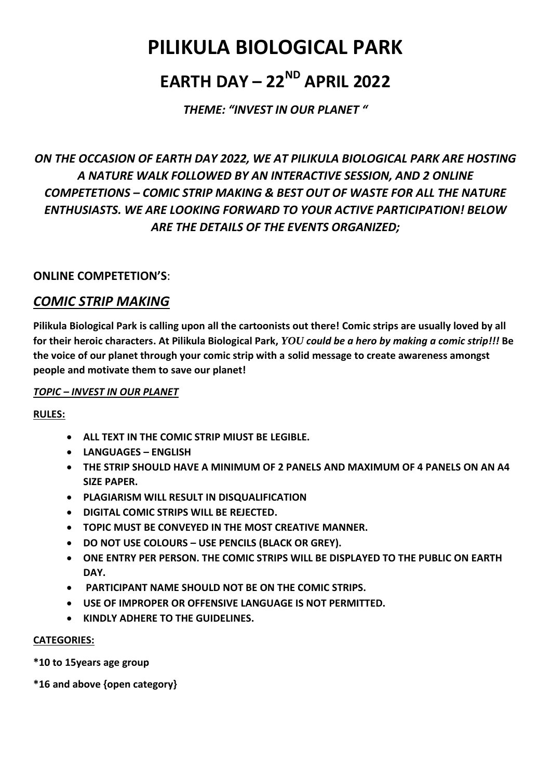# **PILIKULA BIOLOGICAL PARK**

# **EARTH DAY – 22ND APRIL 2022**

*THEME: "INVEST IN OUR PLANET "*

## *ON THE OCCASION OF EARTH DAY 2022, WE AT PILIKULA BIOLOGICAL PARK ARE HOSTING A NATURE WALK FOLLOWED BY AN INTERACTIVE SESSION, AND 2 ONLINE COMPETETIONS – COMIC STRIP MAKING & BEST OUT OF WASTE FOR ALL THE NATURE ENTHUSIASTS. WE ARE LOOKING FORWARD TO YOUR ACTIVE PARTICIPATION! BELOW ARE THE DETAILS OF THE EVENTS ORGANIZED;*

#### **ONLINE COMPETETION'S**:

### *COMIC STRIP MAKING*

**Pilikula Biological Park is calling upon all the cartoonists out there! Comic strips are usually loved by all for their heroic characters. At Pilikula Biological Park,** *YOU could be a hero by making a comic strip!!!* **Be the voice of our planet through your comic strip with a solid message to create awareness amongst people and motivate them to save our planet!**

#### *TOPIC – INVEST IN OUR PLANET*

#### **RULES:**

- **ALL TEXT IN THE COMIC STRIP MIUST BE LEGIBLE.**
- **LANGUAGES – ENGLISH**
- **THE STRIP SHOULD HAVE A MINIMUM OF 2 PANELS AND MAXIMUM OF 4 PANELS ON AN A4 SIZE PAPER.**
- **PLAGIARISM WILL RESULT IN DISQUALIFICATION**
- **DIGITAL COMIC STRIPS WILL BE REJECTED.**
- **TOPIC MUST BE CONVEYED IN THE MOST CREATIVE MANNER.**
- **DO NOT USE COLOURS – USE PENCILS (BLACK OR GREY).**
- **ONE ENTRY PER PERSON. THE COMIC STRIPS WILL BE DISPLAYED TO THE PUBLIC ON EARTH DAY.**
- **PARTICIPANT NAME SHOULD NOT BE ON THE COMIC STRIPS.**
- **USE OF IMPROPER OR OFFENSIVE LANGUAGE IS NOT PERMITTED.**
- **KINDLY ADHERE TO THE GUIDELINES.**

#### **CATEGORIES:**

**\*10 to 15years age group** 

**\*16 and above {open category}**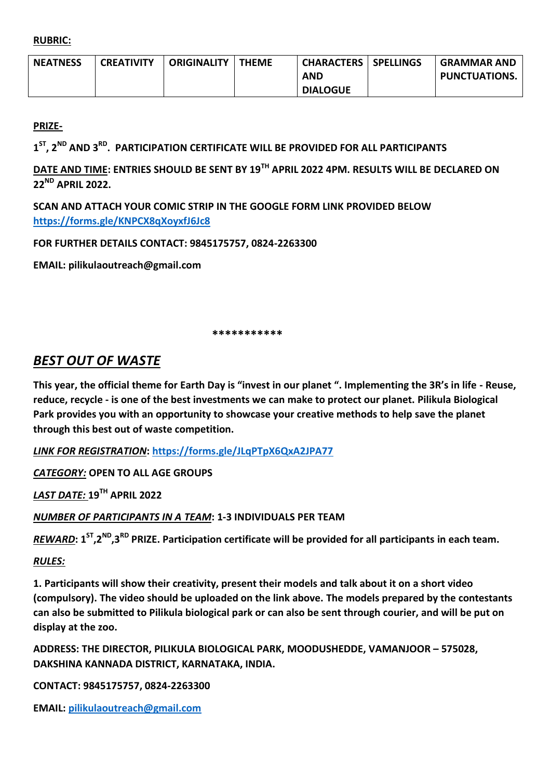**RUBRIC:** 

| <b>NEATNESS</b> | <b>CREATIVITY</b> | <b>ORIGINALITY</b> | <b>THEME</b> | <b>CHARACTERS   SPELLINGS</b> | <b>GRAMMAR AND</b>   |
|-----------------|-------------------|--------------------|--------------|-------------------------------|----------------------|
|                 |                   |                    |              | AND                           | <b>PUNCTUATIONS.</b> |
|                 |                   |                    |              | <b>DIALOGUE</b>               |                      |

**PRIZE-**

**1 ST, 2ND AND 3RD . PARTICIPATION CERTIFICATE WILL BE PROVIDED FOR ALL PARTICIPANTS**

**DATE AND TIME: ENTRIES SHOULD BE SENT BY 19TH APRIL 2022 4PM. RESULTS WILL BE DECLARED ON 22ND APRIL 2022.**

**SCAN AND ATTACH YOUR COMIC STRIP IN THE GOOGLE FORM LINK PROVIDED BELOW <https://forms.gle/KNPCX8qXoyxfJ6Jc8>**

**FOR FURTHER DETAILS CONTACT: 9845175757, 0824-2263300**

**EMAIL: pilikulaoutreach@gmail.com**

 **\*\*\*\*\*\*\*\*\*\*\***

### *BEST OUT OF WASTE*

**This year, the official theme for Earth Day is "invest in our planet ". Implementing the 3R's in life - Reuse, reduce, recycle - is one of the best investments we can make to protect our planet. Pilikula Biological Park provides you with an opportunity to showcase your creative methods to help save the planet through this best out of waste competition.**

*LINK FOR REGISTRATION***: <https://forms.gle/JLqPTpX6QxA2JPA77>**

*CATEGORY:* **OPEN TO ALL AGE GROUPS**

*LAST DATE:* **19TH APRIL 2022**

*NUMBER OF PARTICIPANTS IN A TEAM***: 1-3 INDIVIDUALS PER TEAM**

*REWARD***: 1ST,2ND,3RD PRIZE. Participation certificate will be provided for all participants in each team.**

#### *RULES:*

**1. Participants will show their creativity, present their models and talk about it on a short video (compulsory). The video should be uploaded on the link above. The models prepared by the contestants can also be submitted to Pilikula biological park or can also be sent through courier, and will be put on display at the zoo.**

**ADDRESS: THE DIRECTOR, PILIKULA BIOLOGICAL PARK, MOODUSHEDDE, VAMANJOOR – 575028, DAKSHINA KANNADA DISTRICT, KARNATAKA, INDIA.** 

**CONTACT: 9845175757, 0824-2263300**

**EMAIL: [pilikulaoutreach@gmail.com](mailto:pilikulaoutreach@gmail.com)**